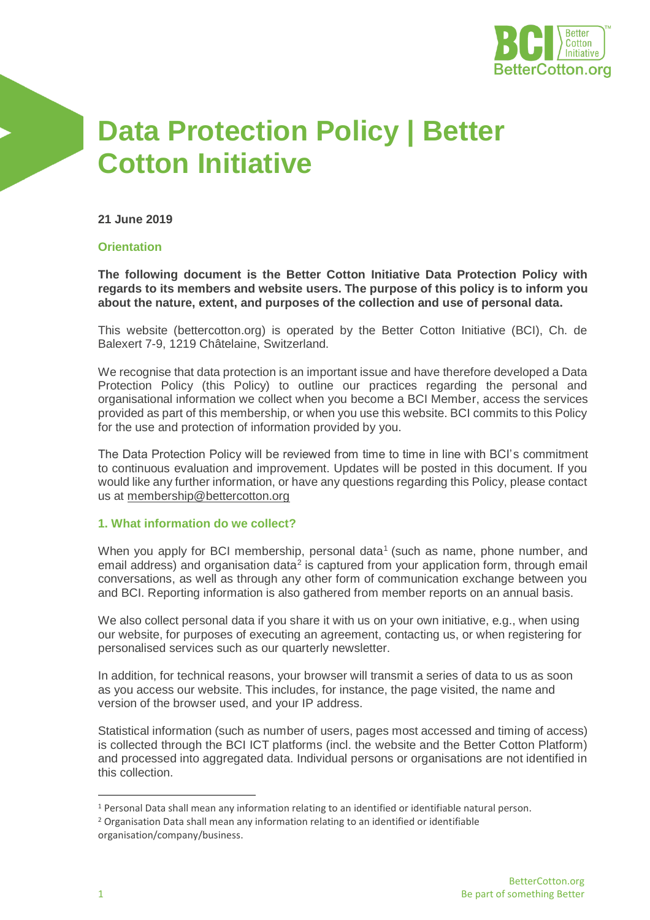

# **Data Protection Policy | Better Cotton Initiative**

**21 June 2019**

### **Orientation**

**The following document is the Better Cotton Initiative Data Protection Policy with regards to its members and website users. The purpose of this policy is to inform you about the nature, extent, and purposes of the collection and use of personal data.**

This website (bettercotton.org) is operated by the Better Cotton Initiative (BCI), Ch. de Balexert 7-9, 1219 Châtelaine, Switzerland.

We recognise that data protection is an important issue and have therefore developed a Data Protection Policy (this Policy) to outline our practices regarding the personal and organisational information we collect when you become a BCI Member, access the services provided as part of this membership, or when you use this website. BCI commits to this Policy for the use and protection of information provided by you.

The Data Protection Policy will be reviewed from time to time in line with BCI's commitment to continuous evaluation and improvement. Updates will be posted in this document. If you would like any further information, or have any questions regarding this Policy, please contact us at [membership@bettercotton.org](mailto:membership@bettercotton.org)

#### **1. What information do we collect?**

When you apply for BCI membership, personal data<sup>1</sup> (such as name, phone number, and email address) and organisation data<sup>2</sup> is captured from your application form, through email conversations, as well as through any other form of communication exchange between you and BCI. Reporting information is also gathered from member reports on an annual basis.

We also collect personal data if you share it with us on your own initiative, e.g., when using our website, for purposes of executing an agreement, contacting us, or when registering for personalised services such as our quarterly newsletter.

In addition, for technical reasons, your browser will transmit a series of data to us as soon as you access our website. This includes, for instance, the page visited, the name and version of the browser used, and your IP address.

Statistical information (such as number of users, pages most accessed and timing of access) is collected through the BCI ICT platforms (incl. the website and the Better Cotton Platform) and processed into aggregated data. Individual persons or organisations are not identified in this collection.

 $\overline{a}$ 

<sup>1</sup> Personal Data shall mean any information relating to an identified or identifiable natural person.

<sup>2</sup> Organisation Data shall mean any information relating to an identified or identifiable

organisation/company/business.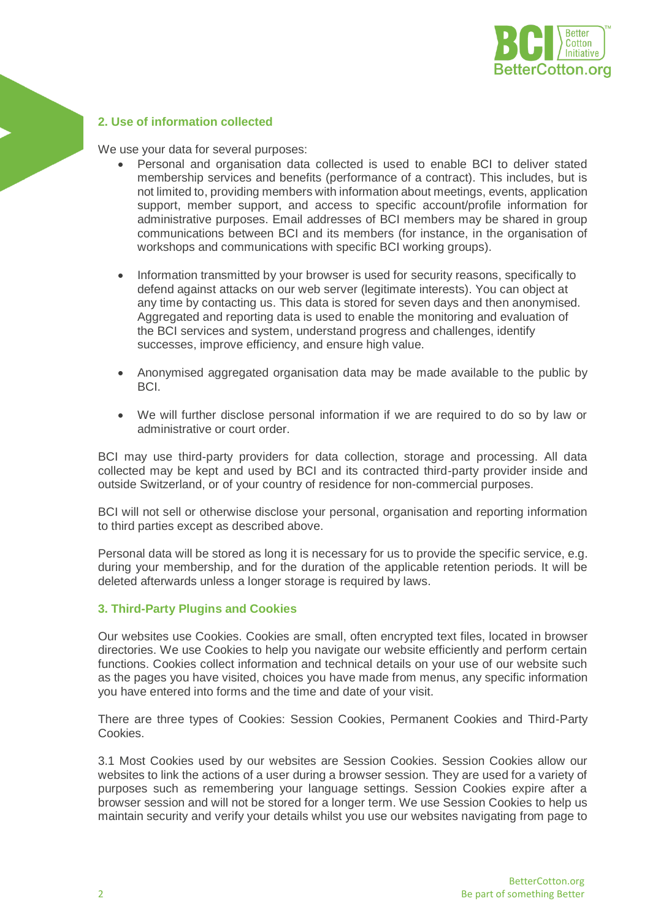

### **2. Use of information collected**

We use your data for several purposes:

- Personal and organisation data collected is used to enable BCI to deliver stated membership services and benefits (performance of a contract). This includes, but is not limited to, providing members with information about meetings, events, application support, member support, and access to specific account/profile information for administrative purposes. Email addresses of BCI members may be shared in group communications between BCI and its members (for instance, in the organisation of workshops and communications with specific BCI working groups).
- Information transmitted by your browser is used for security reasons, specifically to defend against attacks on our web server (legitimate interests). You can object at any time by contacting us. This data is stored for seven days and then anonymised. Aggregated and reporting data is used to enable the monitoring and evaluation of the BCI services and system, understand progress and challenges, identify successes, improve efficiency, and ensure high value.
- Anonymised aggregated organisation data may be made available to the public by BCI.
- We will further disclose personal information if we are required to do so by law or administrative or court order.

BCI may use third-party providers for data collection, storage and processing. All data collected may be kept and used by BCI and its contracted third-party provider inside and outside Switzerland, or of your country of residence for non-commercial purposes.

BCI will not sell or otherwise disclose your personal, organisation and reporting information to third parties except as described above.

Personal data will be stored as long it is necessary for us to provide the specific service, e.g. during your membership, and for the duration of the applicable retention periods. It will be deleted afterwards unless a longer storage is required by laws.

#### **3. Third-Party Plugins and Cookies**

Our websites use Cookies. Cookies are small, often encrypted text files, located in browser directories. We use Cookies to help you navigate our website efficiently and perform certain functions. Cookies collect information and technical details on your use of our website such as the pages you have visited, choices you have made from menus, any specific information you have entered into forms and the time and date of your visit.

There are three types of Cookies: Session Cookies, Permanent Cookies and Third-Party Cookies.

3.1 Most Cookies used by our websites are Session Cookies. Session Cookies allow our websites to link the actions of a user during a browser session. They are used for a variety of purposes such as remembering your language settings. Session Cookies expire after a browser session and will not be stored for a longer term. We use Session Cookies to help us maintain security and verify your details whilst you use our websites navigating from page to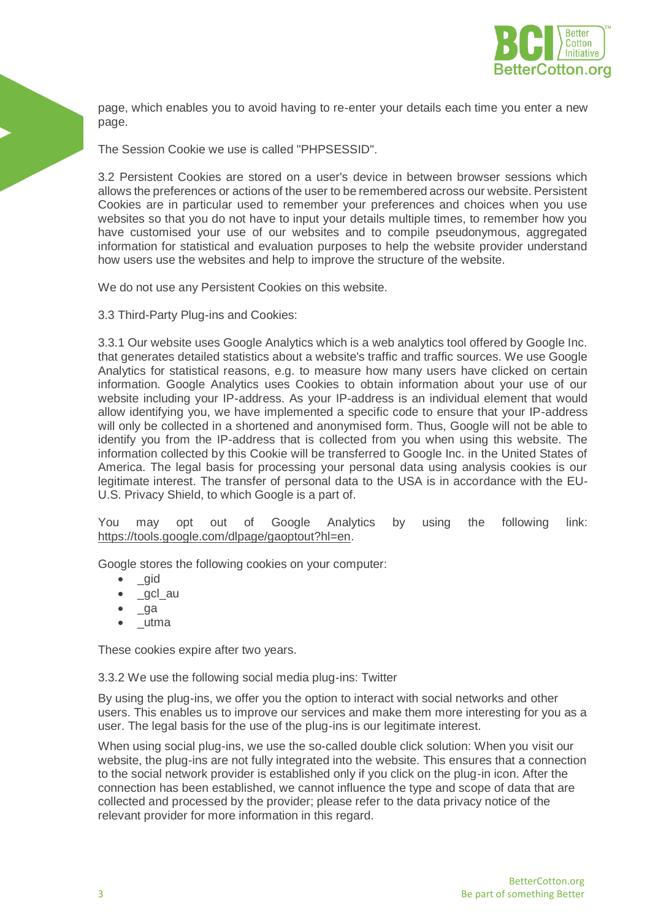

page, which enables you to avoid having to re-enter your details each time you enter a new page.

The Session Cookie we use is called "PHPSESSID".

3.2 Persistent Cookies are stored on a user's device in between browser sessions which allows the preferences or actions of the user to be remembered across our website. Persistent Cookies are in particular used to remember your preferences and choices when you use websites so that you do not have to input your details multiple times, to remember how you have customised your use of our websites and to compile pseudonymous, aggregated information for statistical and evaluation purposes to help the website provider understand how users use the websites and help to improve the structure of the website.

We do not use any Persistent Cookies on this website.

3.3 Third-Party Plug-ins and Cookies:

3.3.1 Our website uses Google Analytics which is a web analytics tool offered by Google Inc. that generates detailed statistics about a website's traffic and traffic sources. We use Google Analytics for statistical reasons, e.g. to measure how many users have clicked on certain information. Google Analytics uses Cookies to obtain information about your use of our website including your IP-address. As your IP-address is an individual element that would allow identifying you, we have implemented a specific code to ensure that your IP-address will only be collected in a shortened and anonymised form. Thus, Google will not be able to identify you from the IP-address that is collected from you when using this website. The information collected by this Cookie will be transferred to Google Inc. in the United States of America. The legal basis for processing your personal data using analysis cookies is our legitimate interest. The transfer of personal data to the USA is in accordance with the EU-U.S. Privacy Shield, to which Google is a part of.

You may opt out of Google Analytics by using the following link: [https://tools.google.com/dlpage/gaoptout?hl=en.](https://tools.google.com/dlpage/gaoptout?hl=en)

Google stores the following cookies on your computer:

- \_gid
- gcl au
- \_ga
- \_utma

These cookies expire after two years.

3.3.2 We use the following social media plug-ins: Twitter

By using the plug-ins, we offer you the option to interact with social networks and other users. This enables us to improve our services and make them more interesting for you as a user. The legal basis for the use of the plug-ins is our legitimate interest.

When using social plug-ins, we use the so-called double click solution: When you visit our website, the plug-ins are not fully integrated into the website. This ensures that a connection to the social network provider is established only if you click on the plug-in icon. After the connection has been established, we cannot influence the type and scope of data that are collected and processed by the provider; please refer to the data privacy notice of the relevant provider for more information in this regard.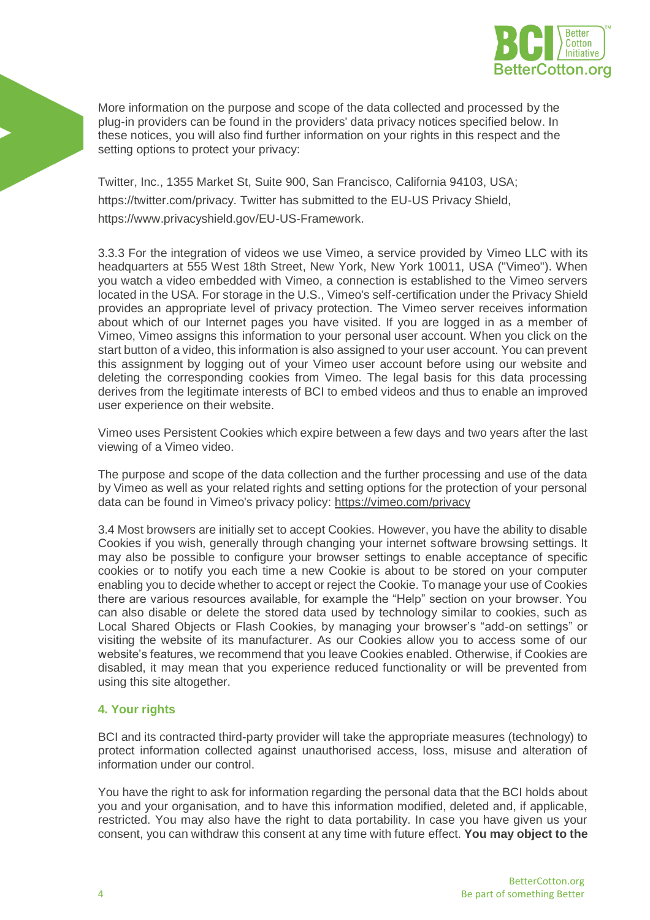

More information on the purpose and scope of the data collected and processed by the plug-in providers can be found in the providers' data privacy notices specified below. In these notices, you will also find further information on your rights in this respect and the setting options to protect your privacy:

Twitter, Inc., 1355 Market St, Suite 900, San Francisco, California 94103, USA; https://twitter.com/privacy. Twitter has submitted to the EU-US Privacy Shield, https://www.privacyshield.gov/EU-US-Framework.

3.3.3 For the integration of videos we use Vimeo, a service provided by Vimeo LLC with its headquarters at 555 West 18th Street, New York, New York 10011, USA ("Vimeo"). When you watch a video embedded with Vimeo, a connection is established to the Vimeo servers located in the USA. For storage in the U.S., Vimeo's self-certification under the Privacy Shield provides an appropriate level of privacy protection. The Vimeo server receives information about which of our Internet pages you have visited. If you are logged in as a member of Vimeo, Vimeo assigns this information to your personal user account. When you click on the start button of a video, this information is also assigned to your user account. You can prevent this assignment by logging out of your Vimeo user account before using our website and deleting the corresponding cookies from Vimeo. The legal basis for this data processing derives from the legitimate interests of BCI to embed videos and thus to enable an improved user experience on their website.

Vimeo uses Persistent Cookies which expire between a few days and two years after the last viewing of a Vimeo video.

The purpose and scope of the data collection and the further processing and use of the data by Vimeo as well as your related rights and setting options for the protection of your personal data can be found in Vimeo's privacy policy:<https://vimeo.com/privacy>

3.4 Most browsers are initially set to accept Cookies. However, you have the ability to disable Cookies if you wish, generally through changing your internet software browsing settings. It may also be possible to configure your browser settings to enable acceptance of specific cookies or to notify you each time a new Cookie is about to be stored on your computer enabling you to decide whether to accept or reject the Cookie. To manage your use of Cookies there are various resources available, for example the "Help" section on your browser. You can also disable or delete the stored data used by technology similar to cookies, such as Local Shared Objects or Flash Cookies, by managing your browser's "add-on settings" or visiting the website of its manufacturer. As our Cookies allow you to access some of our website's features, we recommend that you leave Cookies enabled. Otherwise, if Cookies are disabled, it may mean that you experience reduced functionality or will be prevented from using this site altogether.

## **4. Your rights**

BCI and its contracted third-party provider will take the appropriate measures (technology) to protect information collected against unauthorised access, loss, misuse and alteration of information under our control.

You have the right to ask for information regarding the personal data that the BCI holds about you and your organisation, and to have this information modified, deleted and, if applicable, restricted. You may also have the right to data portability. In case you have given us your consent, you can withdraw this consent at any time with future effect. **You may object to the**